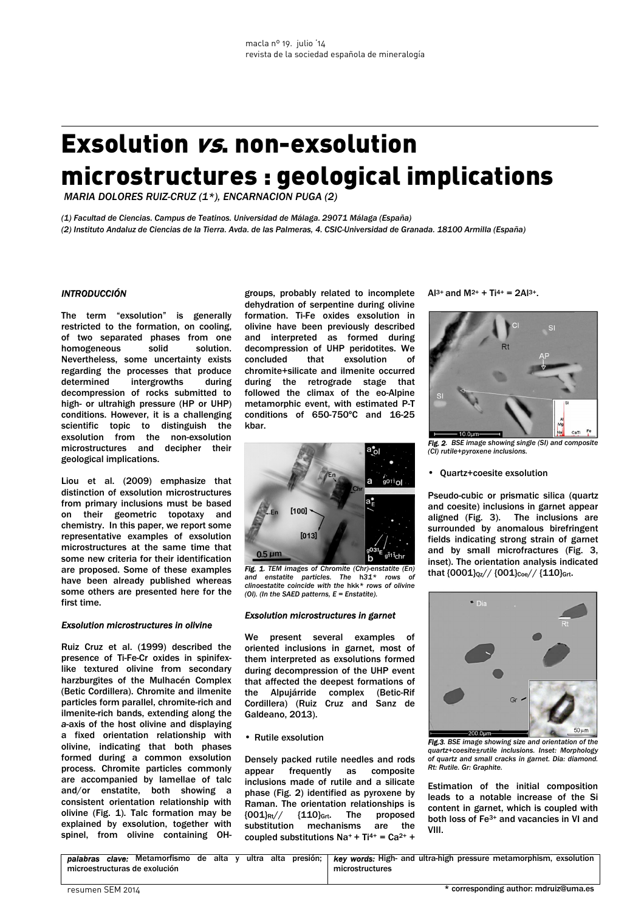# Exsolution vs. non-exsolution microstructures : geological implications

 *MARIA DOLORES RUIZ-CRUZ (1\*), ENCARNACION PUGA (2)* 

*(1) Facultad de Ciencias. Campus de Teatinos. Universidad de Málaga. 29071 Málaga (España) (2) Instituto Andaluz de Ciencias de la Tierra. Avda. de las Palmeras, 4. CSIC-Universidad de Granada. 18100 Armilla (España)* 

## *INTRODUCCIÓN*

The term "exsolution" is generally restricted to the formation, on cooling, of two separated phases from one homogeneous solid solution. Nevertheless, some uncertainty exists regarding the processes that produce determined intergrowths during decompression of rocks submitted to high- or ultrahigh pressure (HP or UHP) conditions. However, it is a challenging scientific topic to distinguish the exsolution from the non-exsolution microstructures and decipher their geological implications.

Liou et al. (2009) emphasize that distinction of exsolution microstructures from primary inclusions must be based on their geometric topotaxy and chemistry. In this paper, we report some representative examples of exsolution microstructures at the same time that some new criteria for their identification are proposed. Some of these examples have been already published whereas some others are presented here for the first time.

#### *Exsolution microstructures in olivine*

Ruiz Cruz et al. (1999) described the presence of Ti-Fe-Cr oxides in spinifexlike textured olivine from secondary harzburgites of the Mulhacén Complex (Betic Cordillera). Chromite and ilmenite particles form parallel, chromite-rich and ilmenite-rich bands, extending along the *a*-axis of the host olivine and displaying a fixed orientation relationship with olivine, indicating that both phases formed during a common exsolution process. Chromite particles commonly are accompanied by lamellae of talc and/or enstatite, both showing a consistent orientation relationship with olivine (Fig. 1). Talc formation may be explained by exsolution, together with spinel, from olivine containing OH-

groups, probably related to incomplete dehydration of serpentine during olivine formation. Ti-Fe oxides exsolution in olivine have been previously described and interpreted as formed during decompression of UHP peridotites. We concluded that exsolution of chromite+silicate and ilmenite occurred during the retrograde stage that followed the climax of the eo-Alpine metamorphic event, with estimated P-T conditions of 650-750ºC and 16-25 kbar.



*Fig. 1. TEM images of Chromite (Chr)-enstatite (En) and enstatite particles. The* h*31\* rows of clinoestatite coincide with the* hkk*\* rows of olivine (Ol). (In the SAED patterns, E = Enstatite).* 

#### *Exsolution microstructures in garnet*

We present several examples of oriented inclusions in garnet, most of them interpreted as exsolutions formed during decompression of the UHP event that affected the deepest formations of the Alpujárride complex (Betic-Rif Cordillera) (Ruiz Cruz and Sanz de Galdeano, 2013).

• Rutile exsolution

Densely packed rutile needles and rods appear frequently as composite inclusions made of rutile and a silicate phase (Fig. 2) identified as pyroxene by Raman. The orientation relationships is  ${001}$ Rt//  ${110}$ Grt. The proposed substitution mechanisms are the coupled substitutions  $Na^+ + Ti^{4+} = Ca^{2+} +$ 

 $\Delta$ 13+ and M2+ + Ti4+ = 2 $\Delta$ 13+



*Fig. 2. BSE image showing single (SI) and composite (CI) rutile+pyroxene inclusions.* 

• Quartz+coesite exsolution

Pseudo-cubic or prismatic silica (quartz and coesite) inclusions in garnet appear aligned (Fig. 3). The inclusions are surrounded by anomalous birefringent fields indicating strong strain of garnet and by small microfractures (Fig. 3, inset). The orientation analysis indicated that  ${0001}_{Qz}// {001}_{Coe} / / {110}_{Grt}$ .



*Fig.3. BSE image showing size and orientation of the quartz+coesite±rutile inclusions. Inset: Morphology of quartz and small cracks in garnet. Dia: diamond. Rt: Rutile. Gr: Graphite.* 

Estimation of the initial composition leads to a notable increase of the Si content in garnet, which is coupled with both loss of Fe3+ and vacancies in VI and VIII.

| palabras                      | clave: Metamorfismo | de | alta | $\mathbf{v}$ | ultra | alta | presión:        | <b>key words:</b> High- and ultra-high pressure metamorphism, exsolution |
|-------------------------------|---------------------|----|------|--------------|-------|------|-----------------|--------------------------------------------------------------------------|
| microestructuras de exolución |                     |    |      |              |       |      | microstructures |                                                                          |
|                               |                     |    |      |              |       |      |                 |                                                                          |